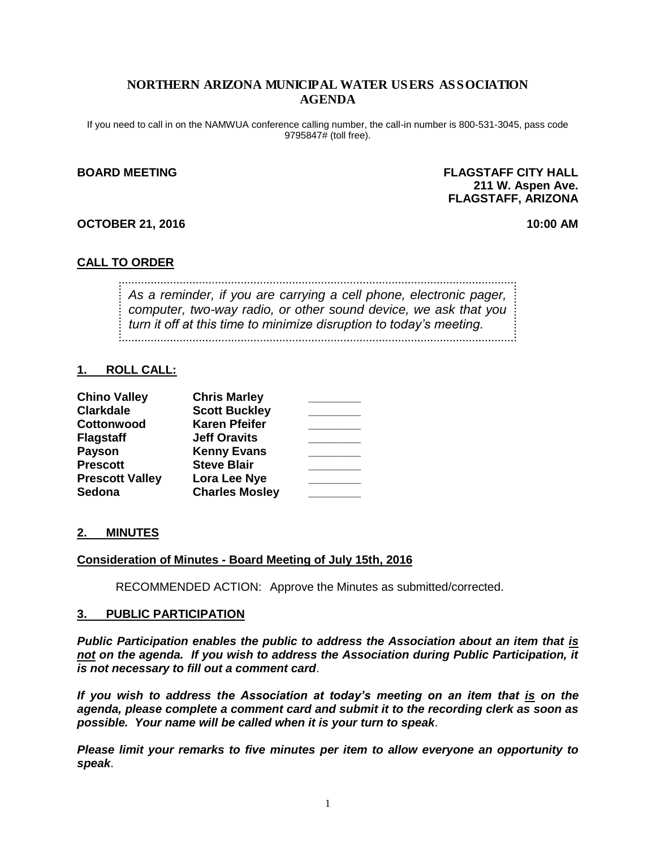## NORTHERN ARIZONA MUNICIPAL WATER USERS ASSOCIATION AGENDA

If you need to call in on the NAMWUA conference calling number, the call-in number is 800-531-3045, pass code 9795847# (toll free).

#### **BOARD MEETING FLAGSTAFF CITY HALL 211 W. Aspen Ave. FLAGSTAFF, ARIZONA**

#### **OCTOBER 21, 2016 10:00 AM**

## **CALL TO ORDER**

*As a reminder, if you are carrying a cell phone, electronic pager, computer, two-way radio, or other sound device, we ask that you turn it off at this time to minimize disruption to today's meeting.*

## **1. ROLL CALL:**

| <b>Chino Valley</b>    | <b>Chris Marley</b>   |  |
|------------------------|-----------------------|--|
| <b>Clarkdale</b>       | <b>Scott Buckley</b>  |  |
| Cottonwood             | <b>Karen Pfeifer</b>  |  |
| <b>Flagstaff</b>       | <b>Jeff Oravits</b>   |  |
| <b>Payson</b>          | <b>Kenny Evans</b>    |  |
| <b>Prescott</b>        | <b>Steve Blair</b>    |  |
| <b>Prescott Valley</b> | Lora Lee Nye          |  |
| Sedona                 | <b>Charles Mosley</b> |  |

## **2. MINUTES**

## **Consideration of Minutes - Board Meeting of July 15th, 2016**

RECOMMENDED ACTION: Approve the Minutes as submitted/corrected.

#### **3. PUBLIC PARTICIPATION**

*Public Participation enables the public to address the Association about an item that is not on the agenda. If you wish to address the Association during Public Participation, it is not necessary to fill out a comment card*.

*If you wish to address the Association at today's meeting on an item that is on the agenda, please complete a comment card and submit it to the recording clerk as soon as possible. Your name will be called when it is your turn to speak*.

*Please limit your remarks to five minutes per item to allow everyone an opportunity to speak*.